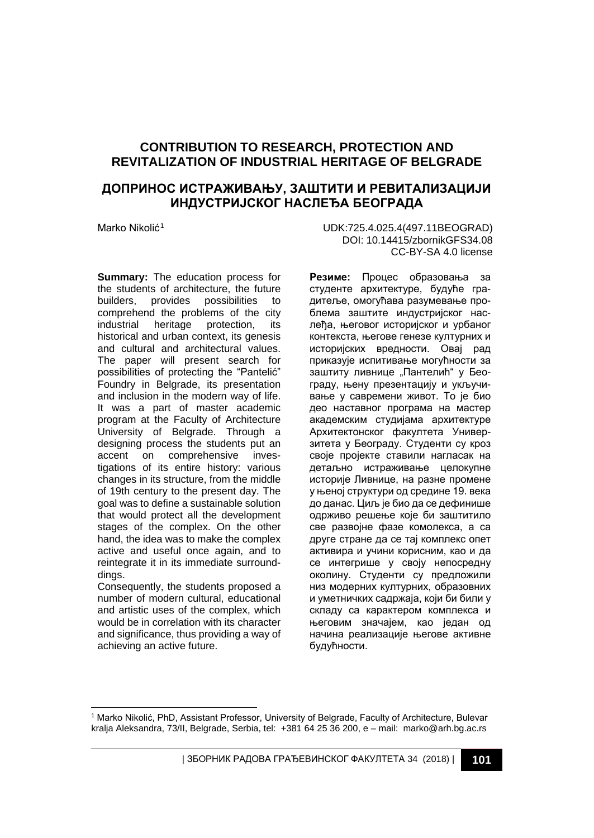# **CONTRIBUTION TO RESEARCH, PROTECTION AND REVITALIZATION OF INDUSTRIAL HERITAGE OF BELGRADE**

# **ДОПРИНОС ИСТРАЖИВАЊУ, ЗАШТИТИ И РЕВИТАЛИЗАЦИЈИ ИНДУСТРИЈСКОГ НАСЛЕЂА БЕОГРАДА**

**Summary:** The education process for the students of architecture, the future builders, provides possibilities to comprehend the problems of the city<br>industrial heritage protection, its industrial heritage historical and urban context, its genesis and cultural and architectural values. The paper will present search for possibilities of protecting the "Pantelić" Foundry in Belgrade, its presentation and inclusion in the modern way of life. It was a part of master academic program at the Faculty of Architecture University of Belgrade. Through a designing process the students put an accent on comprehensive investigations of its entire history: various changes in its structure, from the middle of 19th century to the present day. The goal was to define a sustainable solution that would protect all the development stages of the complex. On the other hand, the idea was to make the complex active and useful once again, and to reintegrate it in its immediate surrounddings.

Consequently, the students proposed a number of modern cultural, educational and artistic uses of the complex, which would be in correlation with its character and significance, thus providing a way of achieving an active future.

Marko Nikolić[1](#page-0-0) UDK:725.4.025.4(497.11BEOGRAD) DOI: 10.14415/zbornikGFS34.08 CC-BY-SA 4.0 license

> **Резиме:** Процес образовања за студенте архитектуре, будуће градитеље, омогућава разумевање проблема заштите индустријског наслеђа, његовог историјског и урбаног контекста, његове генезе културних и историјских вредности. Овај рад приказује испитивање могућности за заштиту ливнице "Пантелић" у Београду, њену презентацију и укључивање у савремени живот. То је био део наставног програма на мастер академским студијама архитектуре Архитектонског факултета Универзитета у Београду. Студенти су кроз своје пројекте ставили нагласак на детаљно истраживање целокупне историје Ливнице, на разне промене у њеној структури од средине 19. века до данас. Циљ је био да се дефинише одрживо решење које би заштитило све развојне фазе комолекса, а са друге стране да се тај комплекс опет активира и учини корисним, као и да се интегрише у своју непосредну околину. Студенти су предложили низ модерних културних, образовних и уметничких садржаја, који би били у складу са карактером комплекса и његовим значајем, као један од начина реализације његове активне будућности.

<span id="page-0-0"></span>j <sup>1</sup> Marko Nikolić, PhD, Assistant Professor, University of Belgrade, Faculty of Architecture, Bulevar kralja Aleksandra, 73/II, Belgrade, Serbia, tel: +381 64 25 36 200, e – mail: marko@arh.bg.ac.rs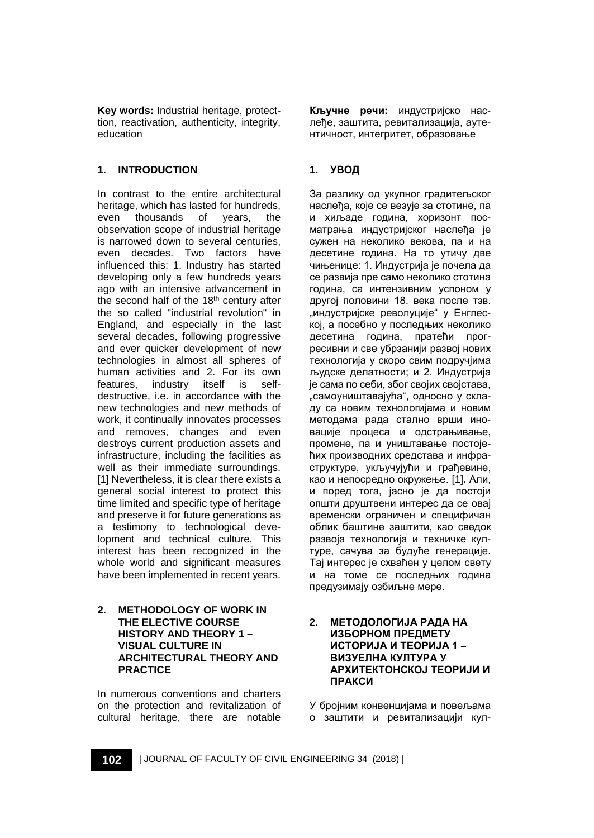**Key words:** Industrial heritage, protecttion, reactivation, authenticity, integrity, education

## **1. INTRODUCTION**

In contrast to the entire architectural heritage, which has lasted for hundreds,<br>even thousands of years, the of years, observation scope of industrial heritage is narrowed down to several centuries, even decades. Two factors have influenced this: 1. Industry has started developing only a few hundreds years ago with an intensive advancement in the second half of the 18<sup>th</sup> century after the so called "industrial revolution" in England, and especially in the last several decades, following progressive and ever quicker development of new technologies in almost all spheres of human activities and 2. For its own<br>features, industry itself is selffeatures, industry itself is destructive, i.e. in accordance with the new technologies and new methods of work, it continually innovates processes and removes, changes and even destroys current production assets and infrastructure, including the facilities as well as their immediate surroundings. [1] Nevertheless, it is clear there exists a general social interest to protect this time limited and specific type of heritage and preserve it for future generations as a testimony to technological development and technical culture. This interest has been recognized in the whole world and significant measures have been implemented in recent years.

#### **2. METHODOLOGY OF WORK IN THE ELECTIVE COURSE HISTORY AND THEORY 1 – VISUAL CULTURE IN ARCHITECTURAL THEORY AND PRACTICE**

In numerous conventions and charters on the protection and revitalization of cultural heritage, there are notable **Кључне речи:** индустријско наслеђе, заштита, ревитализација, аутентичност, интегритет, образовање

# **1. УВОД**

За разлику од укупног градитељског наслеђа, које се везује за стотине, па и хиљаде година, хоризонт посматрања индустријског наслеђа jе сужен на неколико векова, па и на десетине година. На то утичу две чињенице: 1. Индустрија је почела да се развија пре само неколико стотина година, са интензивним успоном у другој половини 18. века после тзв. "индустријске револуције" у Енглеској, а посебно у последњих неколико десетина година, пратећи прогресивни и све убрзанији развој нових технологија у скоро свим подручјима људске делатности; и 2. Индустрија је сама по себи, због својих својстава, "самоуништавајућа", односно у складу са новим технологијама и новим методама рада стално врши иновације процеса и одстрањивање, промене, па и уништавање постојећих производних средстава и инфраструктуре, укључујући и грађевине, као и непосредно окружење. [1]**.** Али, и поред тога, јасно је да постоји општи друштвени интерес да се овај временски ограничен и специфичан облик баштине заштити, као сведок развоја технологија и техничке културе, сачува за будуће генерације. Тај интерес је схваћен у целом свету и на томе се последњих година предузимају озбиљне мере.

#### **2. МEТОДОЛОГИЈА РАДА НА ИЗБОРНОМ ПРЕДМЕТУ ИСТОРИЈА И ТЕОРИЈА 1 – ВИЗУЕЛНА КУЛТУРА У АРХИТЕКТОНСКОЈ ТЕОРИЈИ И ПРАКСИ**

У бројним конвенцијама и повељама о заштити и ревитализацији кул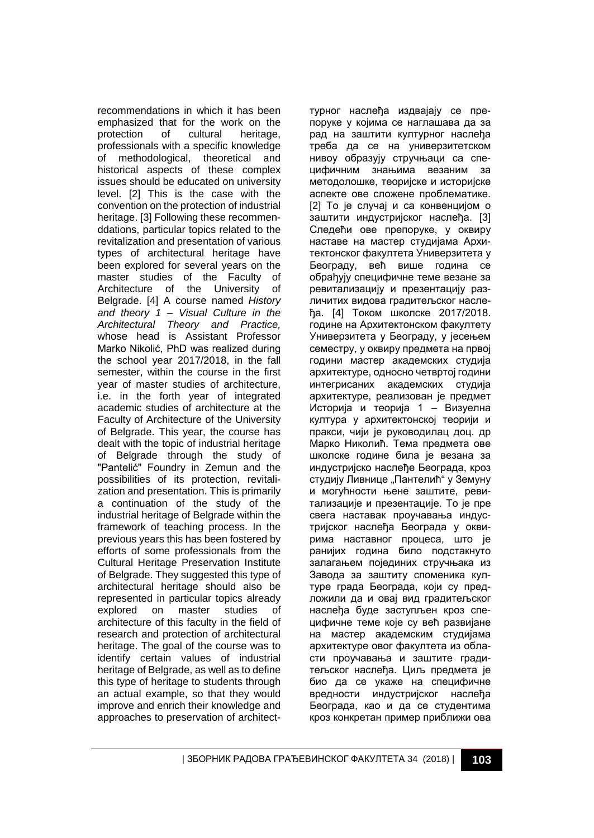recommendations in which it has been emphasized that for the work on the<br>protection of cultural heritage. protection of cultural heritage, professionals with a specific knowledge of methodological, theoretical and historical aspects of these complex issues should be educated on university level. [2] This is the case with the convention on the protection of industrial heritage. [3] Following these recommenddations, particular topics related to the revitalization and presentation of various types of architectural heritage have been explored for several years on the master studies of the Faculty of Architecture of the University of Belgrade. [4] A course named *History and theory 1 – Visual Culture in the Architectural Theory and Practice,*  whose head is Assistant Professor Marko Nikolić, PhD was realized during the school year 2017/2018, in the fall semester, within the course in the first year of master studies of architecture, i.e. in the forth year of integrated academic studies of architecture at the Faculty of Architecture of the University of Belgrade. This year, the course has dealt with the topic of industrial heritage of Belgrade through the study of "Pantelić" Foundry in Zemun and the possibilities of its protection, revitalization and presentation. This is primarily a continuation of the study of the industrial heritage of Belgrade within the framework of teaching process. In the previous years this has been fostered by efforts of some professionals from the Cultural Heritage Preservation Institute of Belgrade. They suggested this type of architectural heritage should also be represented in particular topics already explored on master studies of architecture of this faculty in the field of research and protection of architectural heritage. The goal of the course was to identify certain values of industrial heritage of Belgrade, as well as to define this type of heritage to students through an actual example, so that they would improve and enrich their knowledge and approaches to preservation of architectтурног наслеђа издвајају се препоруке у којима се наглашава да за рад на заштити културног наслеђа треба да се на универзитетском нивоу образују стручњаци са специфичним знањима везаним за методолошке, теоријске и историјске аспекте ове сложене проблематике. [2] То је случај и са конвенцијом о заштити индустријског наслеђа. [3] Следећи ове препоруке, у оквиру наставе на мастер студијама Архитектонског факултета Универзитета у Београду, већ више година се обрађују специфичне теме везане за ревитализацију и презентацију различитих видова градитељског наслеђа. [4] Током школске 2017/2018. године на Архитектонском факултету Универзитета у Београду, у јесењем семестру, у оквиру предмета на првој години мастер академских студија архитектуре, односно четвртој години интегрисаних академских студија архитектуре, реализован је предмет Историја и теорија 1 – Визуелна култура у архитектонској теорији и пракси, чији је руководилац доц. др Марко Николић. Тема предмета ове школске године била је везана за индустријско наслеђе Београда, кроз студију Ливнице "Пантелић" у Земуну и могућности њене заштите, ревитализације и презентације. То је пре свега наставак проучавања индустријског наслеђа Београда у оквирима наставног процеса, што је ранијих година било подстакнуто залагањем појединих стручњака из Завода за заштиту споменика културе града Београда, који су предложили да и овај вид градитељског наслеђа буде заступљен кроз специфичне теме које су већ развијане на мастер академским студијама архитектуре овог факултета из области проучавања и заштите градитељског наслеђа. Циљ предмета је био да се укаже на специфичне вредности индустријског наслеђа Београда, као и да се студентима кроз конкретан пример приближи ова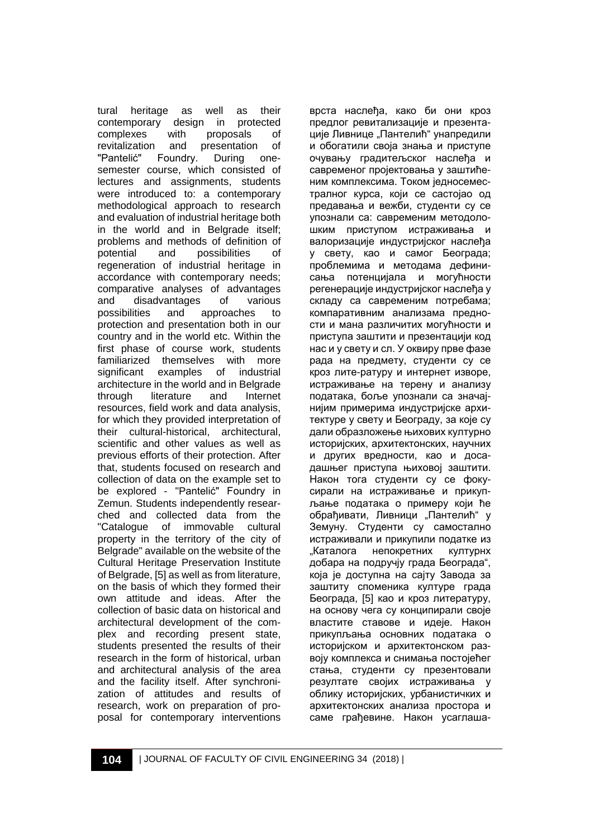tural heritage as well as their contemporary design in protected complexes with proposals of<br>revitalization and presentation of revitalization and presentation<br>"Pantelić" Foundry. During Foundry. During onesemester course, which consisted of lectures and assignments, students were introduced to: a contemporary methodological approach to research and evaluation of industrial heritage both in the world and in Belgrade itself; problems and methods of definition of<br>potential and possibilities of potential and possibilities of regeneration of industrial heritage in accordance with contemporary needs; comparative analyses of advantages and disadvantages of various possibilities and approaches to protection and presentation both in our country and in the world etc. Within the first phase of course work, students familiarized themselves with more<br>significant examples of industrial examples of architecture in the world and in Belgrade through literature and Internet resources, field work and data analysis, for which they provided interpretation of their cultural-historical, architectural, scientific and other values as well as previous efforts of their protection. After that, students focused on research and collection of data on the example set to be explored - "Pantelić" Foundry in Zemun. Students independently researched and collected data from the "Catalogue of immovable cultural property in the territory of the city of Belgrade" available on the website of the Cultural Heritage Preservation Institute of Belgrade, [5] as well as from literature, on the basis of which they formed their own attitude and ideas. After the collection of basic data on historical and architectural development of the complex and recording present state, students presented the results of their research in the form of historical, urban and architectural analysis of the area and the facility itself. After synchronization of attitudes and results of research, work on preparation of proposal for contemporary interventions врста наслеђа, како би они кроз предлог ревитализације и презентације Ливнице "Пантелић" унапредили и обогатили своја знања и приступе очувању градитељског наслеђа и савременог пројектовања у заштићеним комплексима. Током једносеместралног курса, који се састојао од предавања и вежби, студенти су се упознали са: савременим методолошким приступом истраживања и валоризације индустријског наслеђа у свету, као и самог Београда; проблемима и методама дефинисања потенцијала и могућности регенерације индустријског наслеђа у складу са савременим потребама; компаративним анализама предности и мана различитих могућности и приступа заштити и презентацији код нас и у свету и сл. У оквиру прве фазе рада на предмету, студенти су се кроз лите-ратуру и интернет изворе, истраживање на терену и анализу података, боље упознали са значајнијим примерима индустријске архитектуре у свету и Београду, за које су дали образложење њихових културно историјских, архитектонских, научних и других вредности, као и досадашњег приступа њиховој заштити. Након тога студенти су се фокусирали на истраживање и прикупљање података о примеру који ће обрађивати, Ливници "Пантелић" у Земуну. Студенти су самостално истраживали и прикупили податке из<br>"Каталога непокретних културнх непокретних културнх добара на подручју града Београда", која је доступна на сајту Завода за заштиту споменика културе града Београда, [5] као и кроз литературу, на основу чега су конципирали своје властите ставове и идеје. Након прикупљања основних података о историјском и архитектонском развоју комплекса и снимања постојећег стања, студенти су презентовали резултате својих истраживања у облику историјских, урбанистичких и архитектонских анализа простора и саме грађевине. Након усаглаша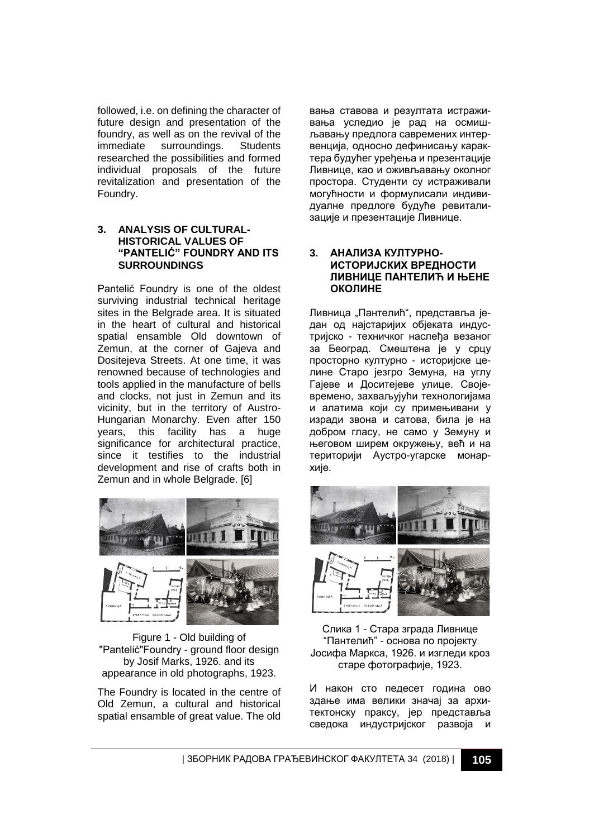followed, i.e. on defining the character of future design and presentation of the foundry, as well as on the revival of the immediate surroundings. Students surroundings. researched the possibilities and formed individual proposals of the future revitalization and presentation of the Foundry.

#### **3. ANALYSIS OF CULTURAL-HISTORICAL VALUES OF "PANTELIĆ" FOUNDRY AND ITS SURROUNDINGS**

Pantelić Foundry is one of the oldest surviving industrial technical heritage sites in the Belgrade area. It is situated in the heart of cultural and historical spatial ensamble Old downtown of Zemun, at the corner of Gajeva and Dositejeva Streets. At one time, it was renowned because of technologies and tools applied in the manufacture of bells and clocks, not just in Zemun and its vicinity, but in the territory of Austro-Hungarian Monarchy. Even after 150 years, this facility has a huge significance for architectural practice, since it testifies to the industrial development and rise of crafts both in Zemun and in whole Belgrade. [6]



Figure 1 - Old building of "Pantelić"Foundry - ground floor design by Josif Marks, 1926. and its appearance in old photographs, 1923.

The Foundry is located in the centre of Old Zemun, a cultural and historical spatial ensamble of great value. The old вања ставова и резултата истраживања уследио је рад на осмишљавању предлога савремених интервенција, односно дефинисању карактера будућег уређења и презентације Ливнице, као и оживљавању околног простора. Студенти су истраживали могућности и формулисали индивидуалне предлоге будуће ревитализације и презентације Ливнице.

#### **3. АНАЛИЗА КУЛТУРНО-ИСТОРИЈСКИХ ВРЕДНОСТИ ЛИВНИЦЕ ПАНТЕЛИЋ И ЊЕНЕ ОКОЛИНЕ**

Ливница "Пантелић", представља један од најстаријих објеката индустријско - техничког наслеђа везаног за Београд. Смештена је у срцу просторно културно - историјске целине Старо језгро Земуна, на углу Гајеве и Доситејеве улице. Својевремено, захваљујући технологијама и алатима који су примењивани у изради звона и сатова, била је на добром гласу, не само у Земуну и његовом ширем окружењу, већ и на територији Аустро-угарске монархије.



Слика 1 - Стара зграда Ливнице "Пантелић" - основа по пројекту Јосифа Маркса, 1926. и изгледи кроз старе фотографије, 1923.

И након сто педесет година ово здање има велики значај за архитектонску праксу, јер представља сведока индустријског развоја и

| ЗБОРНИК РАДОВА ГРАЂЕВИНСКОГ ФАКУЛТЕТА 34 (2018) | **105**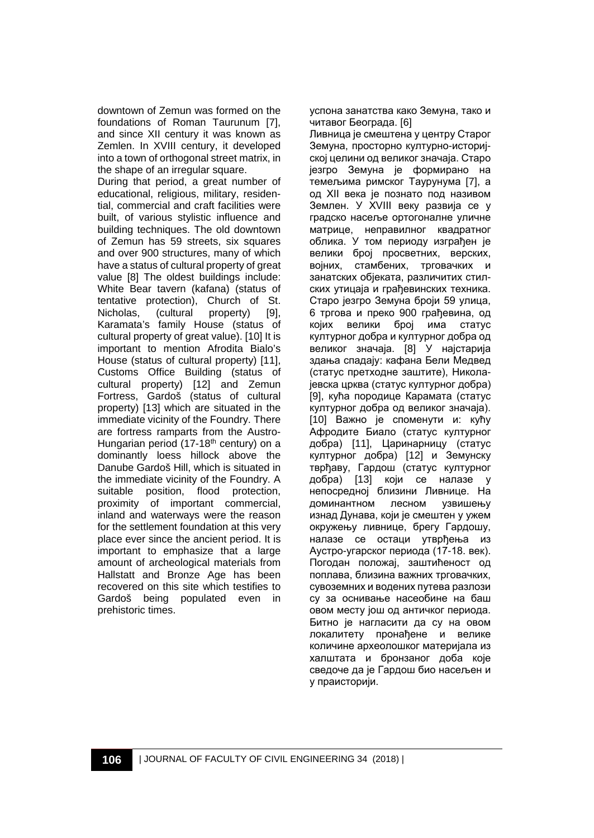downtown of Zemun was formed on the foundations of Roman Taurunum [7], and since XII century it was known as Zemlen. In XVIII century, it developed into a town of orthogonal street matrix, in the shape of an irregular square.

During that period, a great number of educational, religious, military, residential, commercial and craft facilities were built, of various stylistic influence and building techniques. The old downtown of Zemun has 59 streets, six squares and over 900 structures, many of which have a status of cultural property of great value [8] The oldest buildings include: White Bear tavern (kafana) (status of tentative protection), Church of St. Nicholas, (cultural property) [9], Karamata's family House (status of cultural property of great value). [10] It is important to mention Afrodita Bialo's House (status of cultural property) [11], Customs Office Building (status of cultural property) [12] and Zemun Fortress, Gardoš (status of cultural property) [13] which are situated in the immediate vicinity of the Foundry. There are fortress ramparts from the Austro-Hungarian period (17-18<sup>th</sup> century) on a dominantly loess hillock above the Danube Gardoš Hill, which is situated in the immediate vicinity of the Foundry. A suitable position, flood protection, proximity of important commercial, inland and waterways were the reason for the settlement foundation at this very place ever since the ancient period. It is important to emphasize that a large amount of archeological materials from Hallstatt and Bronze Age has been recovered on this site which testifies to Gardoš being populated even in prehistoric times.

успона занатства како Земуна, тако и читавог Београда. [6]

Ливница је смештена у центру Старог Земуна, просторно културно-историјској целини од великог значаја. Старо језгро Земуна је формирано на темељима римског Таурунума [7], а од XII века је познато под називом Землен. У XVIII веку развија се у градско насеље ортогоналне уличне матрице, неправилног квадратног облика. У том периоду изграђен је велики број просветних, верских, војних, стамбених, трговачких и занатских објеката, различитих стилских утицаја и грађевинских техника. Старо језгро Земуна броји 59 улица, 6 тргова и преко 900 грађевина, од којих велики број има статус културног добра и културног добра од великог значаја. [8] У најстарија здања спадају: кафана Бели Медвед (статус претходне заштите), Николајевска црква (статус културног добра) [9], кућа породице Карамата (статус културног добра од великог значаја). [10] Важно је споменути и: кућу Афродите Биало (статус културног добра) [11], Царинарницу (статус културног добра) [12] и Земунску тврђаву, Гардош (статус културног добра) [13] који се налазе у непосредној близини Ливнице. На<br>доминантном лесном узвишењу доминантном лесном изнад Дунава, који је смештен у ужем окружењу ливнице, брегу Гардошу, налазе се остаци утврђења из Аустро-угарског периода (17-18. век). Погодан положај, заштићеност од поплава, близина важних трговачких, сувоземних и водених путева разлози су за оснивање насеобине на баш овом месту још од античког периода. Битно је нагласити да су на овом локалитету пронађене и велике количине археолошког материјала из халштата и бронзаног доба које сведоче да је Гардош био насељен и у праисторији.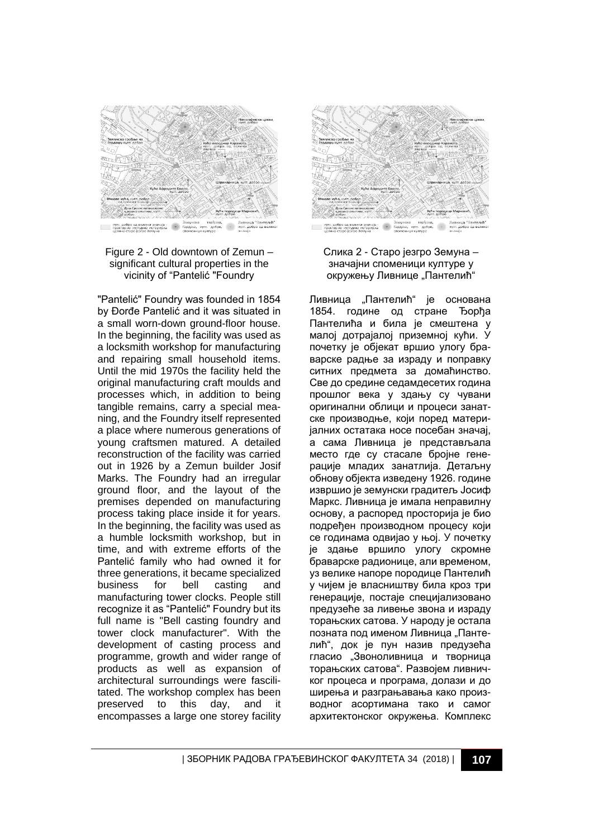



"Pantelić" Foundry was founded in 1854 by Đorđe Pantelić and it was situated in a small worn-down ground-floor house. In the beginning, the facility was used as a locksmith workshop for manufacturing and repairing small household items. Until the mid 1970s the facility held the original manufacturing craft moulds and processes which, in addition to being tangible remains, carry a special meaning, and the Foundry itself represented a place where numerous generations of young craftsmen matured. A detailed reconstruction of the facility was carried out in 1926 by a Zemun builder Josif Marks. The Foundry had an irregular ground floor, and the layout of the premises depended on manufacturing process taking place inside it for years. In the beginning, the facility was used as a humble locksmith workshop, but in time, and with extreme efforts of the Pantelić family who had owned it for three generations, it became specialized<br>business for bell casting and business manufacturing tower clocks. People still recognize it as "Pantelić" Foundry but its full name is "Bell casting foundry and tower clock manufacturer". With the development of casting process and programme, growth and wider range of products as well as expansion of architectural surroundings were fascilitated. The workshop complex has been<br>preserved to this day, and it preserved to this day, and it encompasses a large one storey facility





Ливница "Пантелић" је основана 1854. године од стране Ђорђа Пантелића и била је смештена у малој дотрајалој приземној кући. У почетку је објекат вршио улогу браварске радње за израду и поправку ситних предмета за домаћинство. Све до средине седамдесетих година прошлог века у здању су чувани оригинални облици и процеси занатске производње, који поред материјалних остатака носе посебан значај, а сама Ливница је представљала место где су стасале бројне генерације младих занатлија. Детаљну обнову објекта изведену 1926. године извршио је земунски градитељ Јосиф Маркс. Ливница је имала неправилну основу, а распоред просторија је био подређен производном процесу који се годинама одвијао у њој. У почетку је здање вршило улогу скромне браварске радионице, али временом, уз велике напоре породице Пантелић у чијем је власништву била кроз три генерације, постаје специјализовано предузеће за ливење звона и израду торањских сатова. У народу је остала позната под именом Ливница "Пантелић", док је пун назив предузећа гласио "Звоноливница и творница торањских сатова". Развојем ливничког процеса и програма, долази и до ширења и разграњавања како производног асортимана тако и самог архитектонског окружења. Комплекс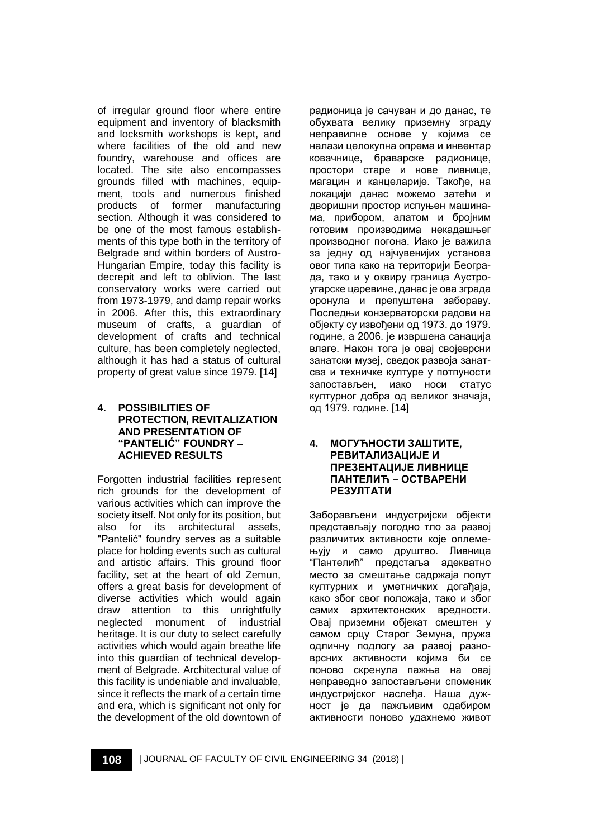of irregular ground floor where entire equipment and inventory of blacksmith and locksmith workshops is kept, and where facilities of the old and new foundry, warehouse and offices are located. The site also encompasses grounds filled with machines, equipment, tools and numerous finished products of former manufacturing section. Although it was considered to be one of the most famous establishments of this type both in the territory of Belgrade and within borders of Austro-Hungarian Empire, today this facility is decrepit and left to oblivion. The last conservatory works were carried out from 1973-1979, and damp repair works in 2006. After this, this extraordinary museum of crafts, a guardian of development of crafts and technical culture, has been completely neglected, although it has had a status of cultural property of great value since 1979. [14]

#### **4. POSSIBILITIES OF PROTECTION, REVITALIZATION AND PRESENTATION OF "PANTELIĆ" FOUNDRY – ACHIEVED RESULTS**

Forgotten industrial facilities represent rich grounds for the development of various activities which can improve the society itself. Not only for its position, but also for its architectural assets, "Pantelić" foundry serves as a suitable place for holding events such as cultural and artistic affairs. This ground floor facility, set at the heart of old Zemun, offers a great basis for development of diverse activities which would again draw attention to this unrightfully neglected monument of industrial heritage. It is our duty to select carefully activities which would again breathe life into this guardian of technical development of Belgrade. Architectural value of this facility is undeniable and invaluable, since it reflects the mark of a certain time and era, which is significant not only for the development of the old downtown of

радионица је сачуван и до данас, те обухвата велику приземну зграду неправилне основе у којима се налази целокупна опрема и инвентар ковачнице, браварске радионице, простори старе и нове ливнице, магацин и канцеларије. Такође, на локацији данас можемо затећи и дворишни простор испуњен машинама, прибором, алатом и бројним готовим производима некадашњег производног погона. Иако је важила за једну од најчувенијих установа овог типа како на територији Београда, тако и у оквиру граница Аустроугарске царевине, данас је ова зграда оронула и препуштена забораву. Последњи конзерваторски радови на објекту су извођени од 1973. до 1979. године, а 2006. је извршена санација влаге. Након тога је овај својеврсни занатски музеј, сведок развоја занатсва и техничке културе у потпуности запостављен, иако носи статус културног добра од великог значаја, од 1979. године. [14]

#### **4. МОГУЋНОСТИ ЗАШТИТЕ, РЕВИТАЛИЗАЦИЈЕ И ПРЕЗЕНТАЦИЈЕ ЛИВНИЦЕ ПАНТЕЛИЋ – ОСТВАРЕНИ РЕЗУЛТАТИ**

Заборављени индустријски објекти представљају погодно тло за развој различитих активности које оплемењују и само друштво. Ливница "Пантелић" предстаља адекватно место за смештање садржаја попут културних и уметничких догађаја, како због свог положаја, тако и због самих архитектонских вредности. Овај приземни објекат смештен у самом срцу Старог Земуна, пружа одличну подлогу за развој разноврсних активности којима би се поново скренула пажња на овај неправедно запостављени споменик индустријског наслеђа. Наша дужност је да пажљивим одабиром активности поново удахнемо живот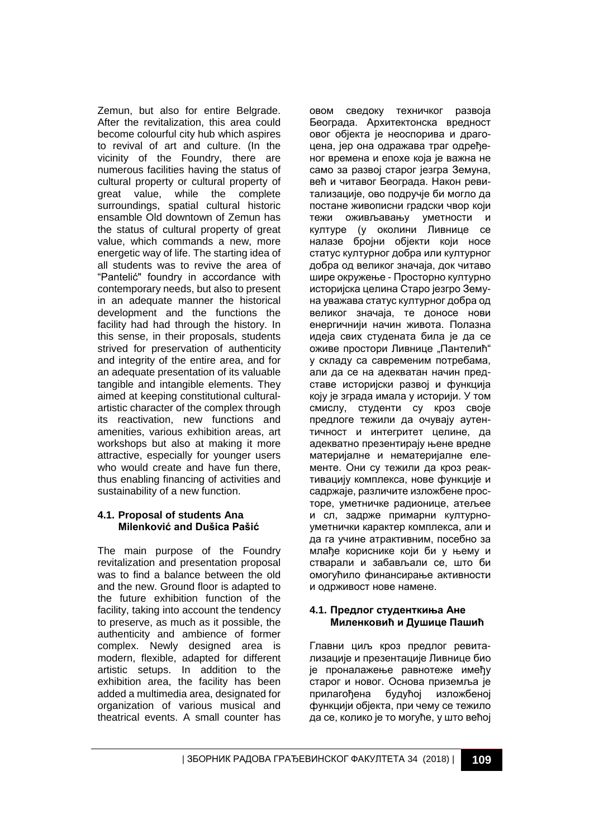Zemun, but also for entire Belgrade. After the revitalization, this area could become colourful city hub which aspires to revival of art and culture. (In the vicinity of the Foundry, there are numerous facilities having the status of cultural property or cultural property of great value, while the complete surroundings, spatial cultural historic ensamble Old downtown of Zemun has the status of cultural property of great value, which commands a new, more energetic way of life. The starting idea of all students was to revive the area of "Pantelić" foundry in accordance with contemporary needs, but also to present in an adequate manner the historical development and the functions the facility had had through the history. In this sense, in their proposals, students strived for preservation of authenticity and integrity of the entire area, and for an adequate presentation of its valuable tangible and intangible elements. They aimed at keeping constitutional culturalartistic character of the complex through its reactivation, new functions and amenities, various exhibition areas, art workshops but also at making it more attractive, especially for younger users who would create and have fun there thus enabling financing of activities and sustainability of a new function.

#### **4.1. Proposal of students Ana Milenković and Dušica Pašić**

The main purpose of the Foundry revitalization and presentation proposal was to find a balance between the old and the new. Ground floor is adapted to the future exhibition function of the facility, taking into account the tendency to preserve, as much as it possible, the authenticity and ambience of former complex. Newly designed area is modern, flexible, adapted for different artistic setups. In addition to the exhibition area, the facility has been added a multimedia area, designated for organization of various musical and theatrical events. A small counter has

овом сведоку техничког развоја Београда. Архитектонска вредност овог објекта је неоспорива и драгоцена, јер она одражава траг одређеног времена и епохе која је важна не само за развој старог језгра Земуна, већ и читавог Београда. Након ревитализације, ово подручје би могло да постане живописни градски чвор који тежи оживљавању уметности и културе (у околини Ливнице се налазе бројни објекти који носе статус културног добра или културног добра од великог значаја, док читаво шире окружење - Просторно културно историјска целина Старо језгро Земуна уважава статус културног добра од великог значаја, те доносе нови енергичнији начин живота. Полазна идеја свих студената била је да се оживе простори Ливнице "Пантелић" у складу са савременим потребама, али да се на адекватан начин представе историјски развој и функција коју је зграда имала у историји. У том смислу, студенти су кроз своје предлоге тежили да очувају аутентичност и интегритет целине, да адекватно презентирају њене вредне материјалне и нематеријалне елементе. Они су тежили да кроз реактивацију комплекса, нове функције и садржаје, различите изложбене просторе, уметничке радионице, атељее и сл, задрже примарни културноуметнички карактер комплекса, али и да га учине атрактивним, посебно за млађе кориснике који би у њему и стварали и забављали се, што би омогућило финансирање активности и одрживост нове намене.

#### **4.1. Предлог студенткиња Ане Миленковић и Душице Пашић**

Главни циљ кроз предлог ревитализације и презентације Ливнице био је проналажење равнотеже имеђу старог и новог. Основа приземља је прилагођена будућој изложбеној функцији објекта, при чему се тежило да се, колико је то могуће, у што већој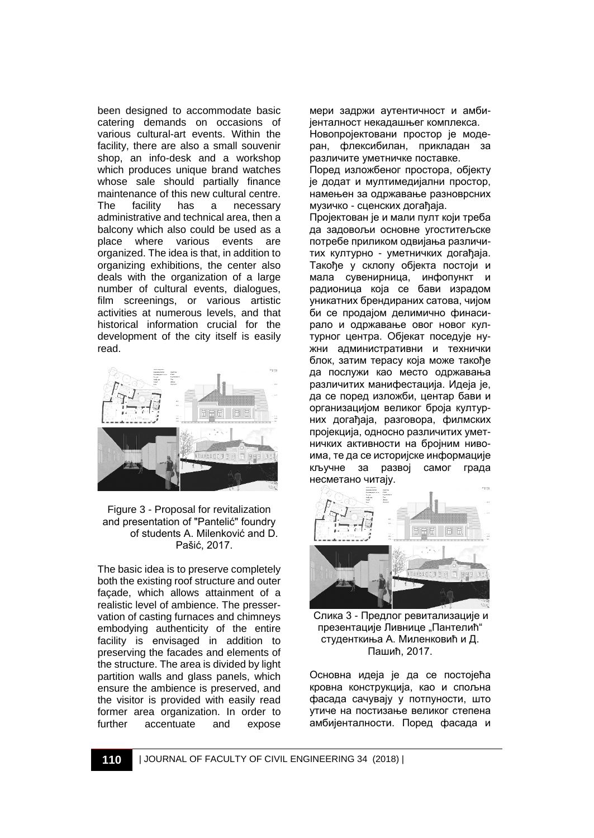been designed to accommodate basic catering demands on occasions of various cultural-art events. Within the facility, there are also a small souvenir shop, an info-desk and a workshop which produces unique brand watches whose sale should partially finance maintenance of this new cultural centre.<br>The facility has a necessary The facility has a necessary administrative and technical area, then a balcony which also could be used as a place where various events are organized. The idea is that, in addition to organizing exhibitions, the center also deals with the organization of a large number of cultural events, dialogues, film screenings, or various artistic activities at numerous levels, and that historical information crucial for the development of the city itself is easily read.



Figure 3 - Proposal for revitalization and presentation of "Pantelić" foundry of students A. Milenković and D. Pašić, 2017.

The basic idea is to preserve completely both the existing roof structure and outer façade, which allows attainment of a realistic level of ambience. The presservation of casting furnaces and chimneys embodying authenticity of the entire facility is еnvisaged in addition to preserving the facades and elements of the structure. The area is divided by light partition walls and glass panels, which ensure the ambience is preserved, and the visitor is provided with easily read former area organization. In order to<br>further accentuate and expose accentuate and expose

мери задржи аутентичност и амбијенталност некадашњег комплекса. Новопројектовани простор је модеран, флексибилан, прикладан за

различите уметничке поставке. Поред изложбеног простора, објекту је додат и мултимедијални простор, намењен за одржавање разноврсних музичко - сценских догађаја.

Пројектован је и мали пулт који треба да задовољи основне угоститељске потребе приликом одвијања различитих културно - уметничких догађаја. Такође у склопу објекта постоји и мала сувенирница, инфопункт и радионица која се бави израдом уникатних брендираних сатова, чијом би се продајом делимично финасирало и одржавање овог новог културног центра. Објекат поседује нужни административни и технички блок, затим терасу која може такође да послужи као место одржавања различитих манифестација. Идеја је, да се поред изложби, центар бави и организацијом великог броја културних догађаја, разговора, филмских пројекција, односно различитих уметничких активности на бројним нивоима, те да се историјске информације кључне за развој самог града несметано читају.



Слика 3 - Предлог ревитализације и презентације Ливнице "Пантелић" студенткиња А. Миленковић и Д. Пашић, 2017.

Основна идеја је да се постојећа кровна конструкција, као и спољна фасада сачувају у потпуности, што утиче на постизање великог степена амбијенталности. Поред фасада и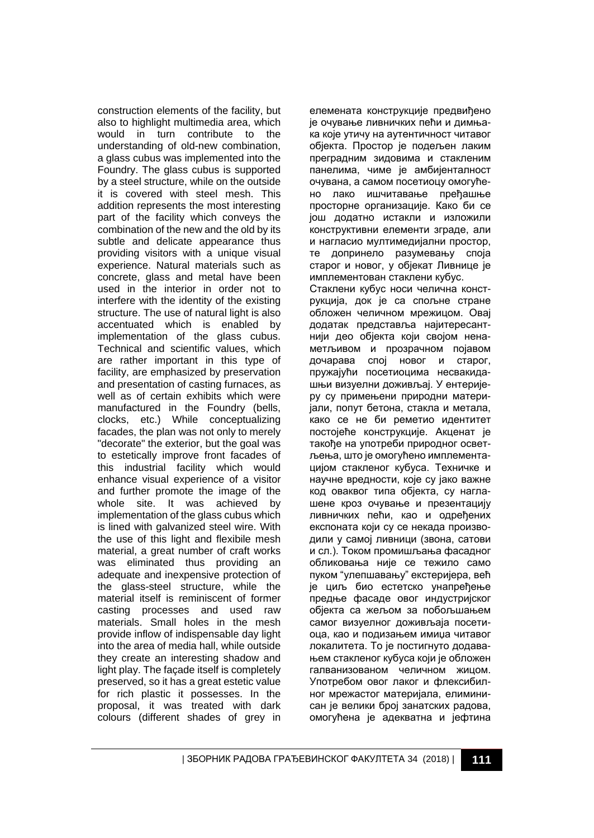construction elements of the facility, but also to highlight multimedia area, which would in turn contribute to the understanding of old-new combination, a glass cubus was implemented into the Foundry. The glass cubus is supported by a steel structure, while on the outside it is covered with steel mesh. This addition represents the most interesting part of the facility which conveys the combination of the new and the old by its subtle and delicate appearance thus providing visitors with a unique visual experience. Natural materials such as concrete, glass and metal have been used in the interior in order not to interfere with the identity of the existing structure. The use of natural light is also accentuated which is enabled by implementation of the glass cubus. Technical and scientific values, which are rather important in this type of facility, are emphasized by preservation and presentation of casting furnaces, as well as of certain exhibits which were manufactured in the Foundry (bells, clocks, etc.) While conceptualizing facades, the plan was not only to merely "decorate" the exterior, but the goal was to estetically improve front facades of this industrial facility which would enhance visual experience of a visitor and further promote the image of the whole site. It was achieved by implementation of the glass cubus which is lined with galvanized steel wire. With the use of this light and flexibile mesh material, a great number of craft works was eliminated thus providing an adequate and inexpensive protection of the glass-steel structure, while the material itself is reminiscent of former casting processes and used raw materials. Small holes in the mesh provide inflow of indispensable day light into the area of media hall, while outside they create an interesting shadow and light play. The façade itself is completely preserved, so it has a great estetic value for rich plastic it possesses. In the proposal, it was treated with dark colours (different shades of grey in

елемената конструкције предвиђено је очување ливничких пећи и димњака које утичу на аутентичност читавог објекта. Простор је подељен лаким преградним зидовима и стакленим панелима, чиме је амбијенталност очувана, а самом посетиоцу омогућено лако ишчитавање пређашње просторне организације. Како би се још додатно истакли и изложили конструктивни елементи зграде, али и нагласио мултимедијални простор, те допринело разумевању споја старог и новог, у објекат Ливнице је имплементован стаклени кубус. Стаклени кубус носи челична конструкција, док је са спољне стране обложен челичном мрежицом. Овај додатак представља најитересантнији део објекта који својом ненаметљивом и прозрачном појавом дочарава спој новог и старог, пружајући посетиоцима несвакидашњи визуелни доживљај. У ентеријеру су примењени природни материјали, попут бетона, стакла и метала, како се не би реметио идентитет постојеће конструкције. Акценат је такође на употреби природног осветљења, што је омогућено имплементацијом стакленог кубуса. Техничке и научне вредности, које су јако важне код оваквог типа објекта, су наглашене кроз очување и презентацију ливничких пећи, као и одређених експоната који су се некада производили у самој ливници (звона, сатови и сл.). Током промишљања фасадног обликовања није се тежило само пуком "улепшавању" екстеријера, већ је циљ био естетско унапређење предње фасаде овог индустријског објекта са жељом за побољшањем самог визуелног доживљаја посетиоца, као и подизањем имиџа читавог локалитета. То је постигнуто додавањем стакленог кубуса који је обложен галванизованом челичном жицом. Употребом овог лаког и флексибилног мрежастог материјала, елиминисан је велики број занатских радова, омогућена је адекватна и јефтина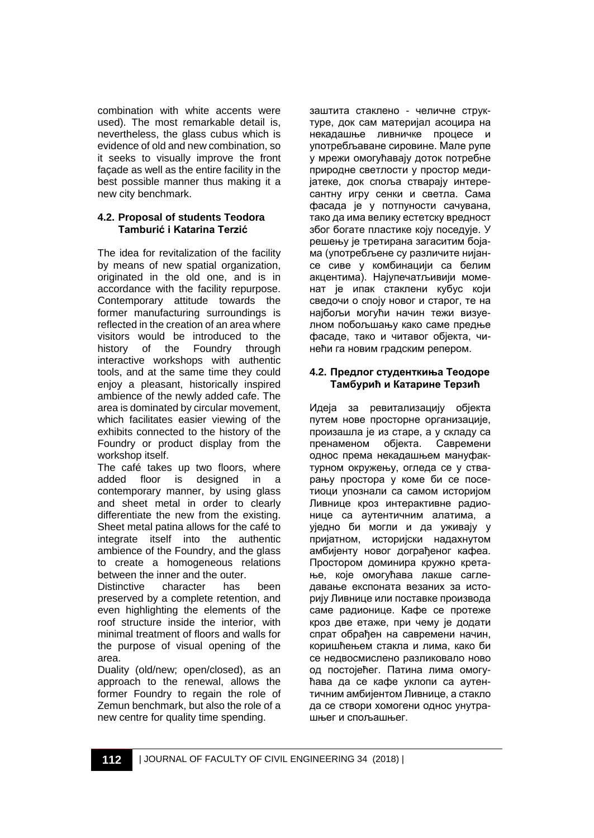combination with white accents were used). The most remarkable detail is, nevertheless, the glass cubus which is evidence of old and new combination, so it seeks to visually improve the front façade as well as the entire facility in the best possible manner thus making it a new city benchmark.

### **4.2. Proposal of students Teodora Tamburić i Katarina Terzić**

The idea for revitalization of the facility by means of new spatial organization, originated in the old one, and is in accordance with the facility repurpose. Contemporary attitude towards the former manufacturing surroundings is reflected in the creation of an area where visitors would be introduced to the history of the Foundry through interactive workshops with authentic tools, and at the same time they could enjoy a pleasant, historically inspired ambience of the newly added cafe. The area is dominated by circular movement, which facilitates easier viewing of the exhibits connected to the history of the Foundry or product display from the workshop itself.

The café takes up two floors, where added floor is designed in a contemporary manner, by using glass and sheet metal in order to clearly differentiate the new from the existing. Sheet metal patina allows for the café to integrate itself into the authentic ambience of the Foundry, and the glass to create a homogeneous relations between the inner and the outer.

Distinctive character has been preserved by a complete retention, and even highlighting the elements of the roof structure inside the interior, with minimal treatment of floors and walls for the purpose of visual opening of the area.

Duality (old/new; open/closed), as an approach to the renewal, allows the former Foundry to regain the role of Zemun benchmark, but also the role of a new centre for quality time spending.

заштита стаклено - челичне структуре, док сам материјал асоцира на некадашње ливничке процесе и употребљаване сировине. Мале рупе у мрежи омогућавају доток потребне природне светлости у простор медијатеке, док споља стварају интересантну игру сенки и светла. Сама фасада је у потпуности сачувана, тако да има велику естетску вредност због богате пластике коју поседује. У решењу је третирана загаситим бојама (употребљене су различите нијансе сиве у комбинацији са белим акцентима). Најупечатљивији моменат је ипак стаклени кубус који сведочи о споју новог и старог, те на најбољи могући начин тежи визуелном побољшању како саме предње фасаде, тако и читавог објекта, чинећи га новим градским репером.

## **4.2. Предлог студенткиња Теодоре Тамбурић и Катарине Терзић**

Идеја за ревитализацију објекта путем нове просторне организације, произашла је из старе, а у складу са пренаменом објекта. Савремени однос према некадашњем мануфактурном окружењу, огледа се у стварању простора у коме би се посетиоци упознали са самом историјом Ливнице кроз интерактивне радионице са аутентичним алатима, а уједно би могли и да уживају у пријатном, историјски надахнутом амбијенту новог дограђеног кафеа. Простором доминира кружно кретање, које омогућава лакше сагледавање експоната везаних за историју Ливнице или поставке производа саме радионице. Кафе се протеже кроз две етаже, при чему је додати спрат обрађен на савремени начин, коришћењем стакла и лима, како би се недвосмислено разликовало ново од постојећег. Патина лима омогућава да се кафе уклопи са аутентичним амбијентом Ливнице, а стакло да се створи хомогени однос унутрашњег и спољашњег.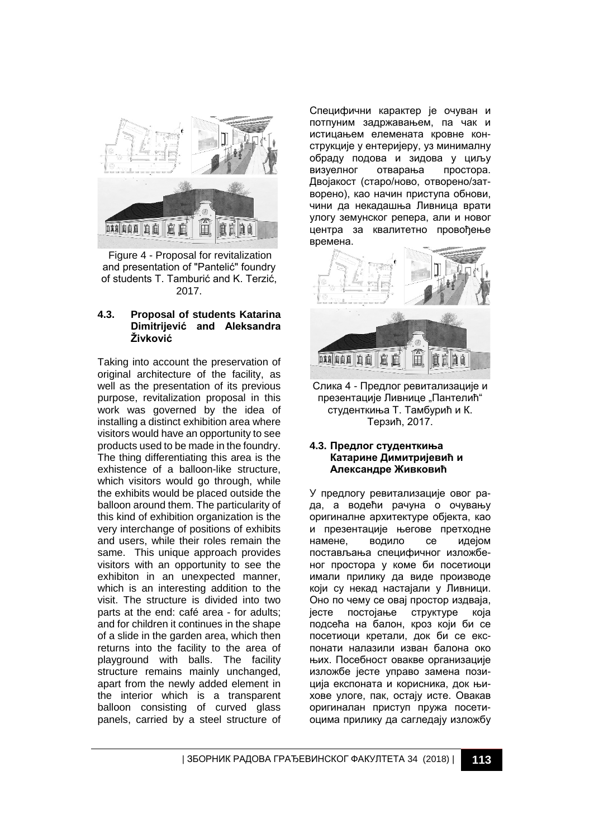

Figure 4 - Proposal for revitalization and presentation of "Pantelić" foundry of students T. Tamburić and K. Terzić, 2017.

#### **4.3. Proposal of students Katarina Dimitrijević and Aleksandra Živković**

Taking into account the preservation of original architecture of the facility, as well as the presentation of its previous purpose, revitalization proposal in this work was governed by the idea of installing a distinct exhibition area where visitors would have an opportunity to see products used to be made in the foundry. The thing differentiating this area is the exhistence of a balloon-like structure, which visitors would go through, while the exhibits would be placed outside the balloon around them. The particularity of this kind of exhibition organization is the very interchange of positions of exhibits and users, while their roles remain the same. This unique approach provides visitors with an opportunity to see the exhibiton in an unexpected manner, which is an interesting addition to the visit. The structure is divided into two parts at the end: café area - for adults; and for children it continues in the shape of a slide in the garden area, which then returns into the facility to the area of playground with balls. The facility structure remains mainly unchanged, apart from the newly added element in the interior which is a transparent balloon consisting of curved glass panels, carried by a steel structure of

Специфични карактер је очуван и потпуним задржавањем, па чак и истицањем елемената кровне конструкције у ентеријеру, уз минималну обраду подова и зидова у циљу визуелног отварања простора. Двојакост (старо/ново, отворено/затворено), као начин приступа обнови, чини да некадашња Ливница врати улогу земунског репера, али и новог центра за квалитетно провођење времена.



Слика 4 - Предлог ревитализације и презентације Ливнице "Пантелић" студенткиња Т. Тамбурић и К. Терзић, 2017.

#### **4.3. Предлог студенткиња Катарине Димитријевић и Александре Живковић**

У предлогу ревитализације овог рада, а водећи рачуна о очувању оригиналне архитектуре објекта, као и презентације његове претходне намене, водило се идејом постављања специфичног изложбеног простора у коме би посетиоци имали прилику да виде производе који су некад настајали у Ливници. Оно по чему се овај простор издваја, јесте постојање структуре која подсећа на балон, кроз који би се посетиоци кретали, док би се експонати налазили изван балона око њих. Посебност овакве организације изложбе јесте управо замена позиција експоната и корисника, док њихове улоге, пак, остају исте. Овакав оригиналан приступ пружа посетиоцима прилику да сагледају изложбу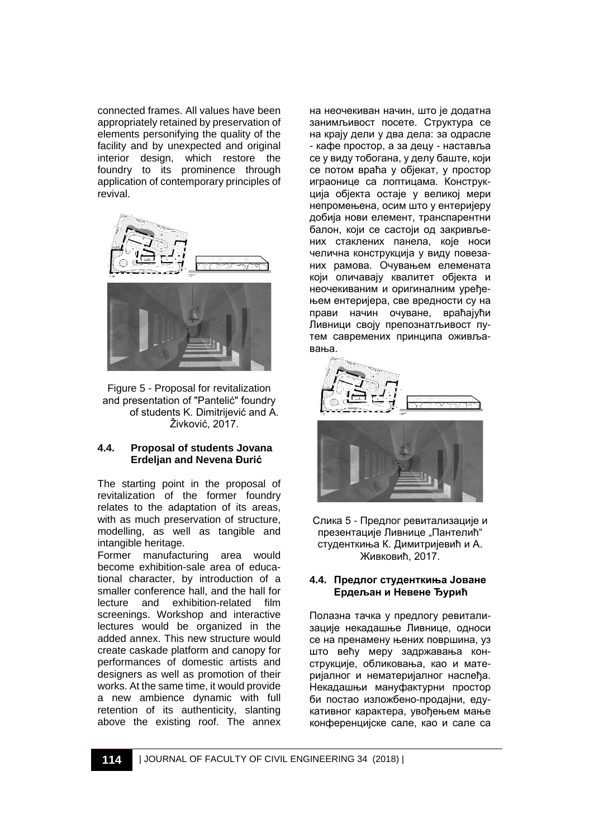connected frames. All values have been appropriately retained by preservation of elements personifying the quality of the facility and by unexpected and original interior design, which restore the foundry to its prominence through application of contemporary principles of revival.



Figure 5 - Proposal for revitalization and presentation of "Pantelić" foundry of students K. Dimitrijević and A. Živković, 2017.

#### **4.4. Proposal of students Jovana Erdeljan and Nevena Đurić**

The starting point in the proposal of revitalization of the former foundry relates to the adaptation of its areas, with as much preservation of structure. modelling, as well as tangible and intangible heritage.

Former manufacturing area would become exhibition-sale area of educational character, by introduction of a smaller conference hall, and the hall for lecture and exhibition-related film screenings. Workshop and interactive lectures would be organized in the added annex. This new structure would create caskade platform and canopy for performances of domestic artists and designers as well as promotion of their works. At the same time, it would provide a new ambience dynamic with full retention of its authenticity, slanting above the existing roof. The annex

на неочекиван начин, што је додатна занимљивост посете. Структура се на крају дели у два дела: за одрасле - кафе простор, а за децу - наставља се у виду тобогана, у делу баште, који се потом враћа у објекат, у простор играонице са лоптицама. Конструкција објекта остаје у великој мери непромењена, осим што у ентеријеру добија нови елемент, транспарентни балон, који се састоји од закривљених стаклених панела, које носи челична конструкција у виду повезаних рамова. Очувањем елемената који оличавају квалитет објекта и неочекиваним и оригиналним уређењем ентеријера, све вредности су на прави начин очуване, враћајући Ливници своју препознатљивост путем савремених принципа оживљавања.



Слика 5 - Предлог ревитализације и презентације Ливнице "Пантелић" студенткиња К. Димитријевић и А. Живковић, 2017.

#### **4.4. Предлог студенткиња Јоване Ердељан и Невене Ђурић**

Полазна тачка у предлогу ревитализације некадашње Ливнице, односи се на пренамену њених површина, уз што већу меру задржавања конструкције, обликовања, као и материјалног и нематеријалног наслеђа. Некадашњи мануфактурни простор би постао изложбено-продајни, едукативног карактера, увођењем мање конференцијске сале, као и сале са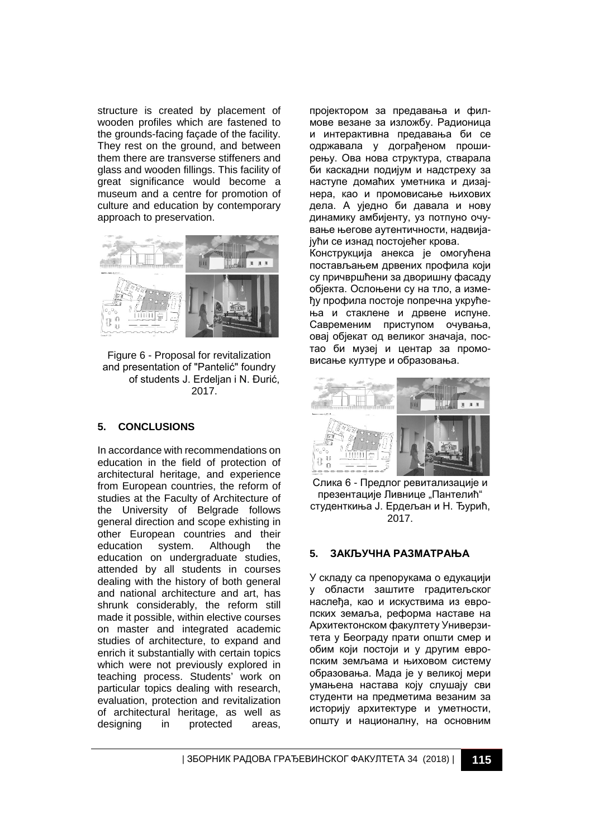structure is created by placement of wooden profiles which are fastened to the grounds-facing façade of the facility. They rest on the ground, and between them there are transverse stiffeners and glass and wooden fillings. This facility of great significance would become a museum and a centre for promotion of culture and education by contemporary approach to preservation.



Figure 6 - Proposal for revitalization and presentation of "Pantelić" foundry of students J. Erdeljan i N. Đurić, 2017.

## **5. CONCLUSIONS**

In accordance with recommendations on education in the field of protection of architectural heritage, and experience from European countries, the reform of studies at the Faculty of Architecture of the University of Belgrade follows general direction and scope exhisting in other European countries and their<br>education system. Although the education system. Although the education on undergraduate studies, attended by all students in courses dealing with the history of both general and national architecture and art, has shrunk considerably, the reform still made it possible, within elective courses on master and integrated academic studies of architecture, to expand and enrich it substantially with certain topics which were not previously explored in teaching process. Students' work on particular topics dealing with research, evaluation, protection and revitalization of architectural heritage, as well as designing in protected areas,

пројектором за предавања и филмове везане за изложбу. Радионица и интерактивна предавања би се одржавала у дограђеном проширењу. Ова нова структура, стварала би каскадни подијум и надстреху за наступе домаћих уметника и дизајнера, као и промовисање њихових дела. А уједно би давала и нову динамику амбијенту, уз потпуно очување његове аутентичности, надвијајући се изнад постојећег крова.

Конструкција анекса је омогућена постављањем дрвених профила који су причвршћени за дворишну фасаду објекта. Ослоњени су на тло, а између профила постоје попречна укрућења и стаклене и дрвене испуне. Савременим приступом очувања, овај објекат од великог значаја, постао би музеј и центар за промовисање културе и образовања.



Слика 6 - Предлог ревитализације и презентације Ливнице "Пантелић" студенткиња Ј. Ердељан и Н. Ђурић, 2017.

## **5. ЗАКЉУЧНА РАЗМАТРАЊА**

У складу са препорукама о едукацији у области заштите градитељског наслеђа, као и искуствима из европских земаља, реформа наставе на Архитектонском факултету Универзитета у Београду прати општи смер и обим који постоји и у другим европским земљама и њиховом систему образовања. Мада је у великој мери умањена настава коју слушају сви студенти на предметима везаним за историју архитектуре и уметности, општу и националну, на основним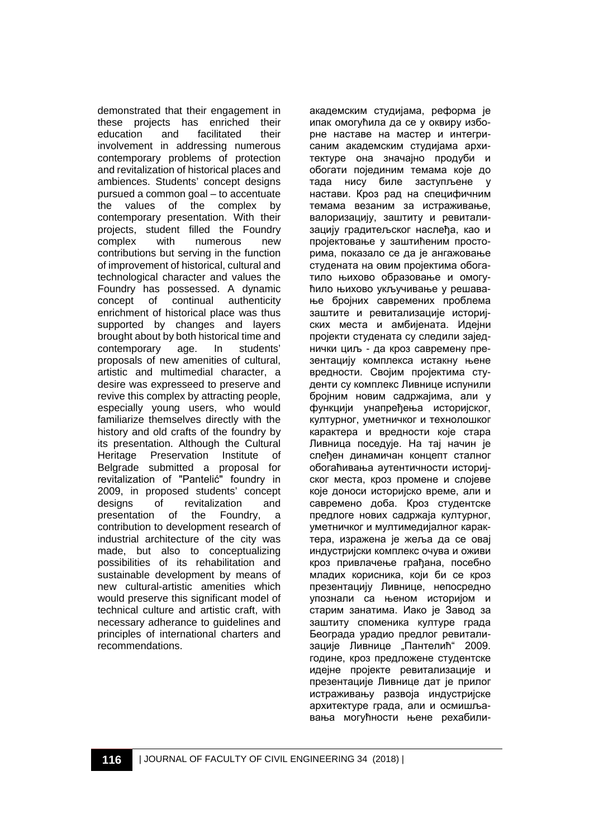demonstrated that their engagement in these projects has enriched their<br>education and facilitated their education and facilitated involvement in addressing numerous contemporary problems of protection and revitalization of historical places and ambiences. Students' concept designs pursued a common goal – to accentuate the values of the complex by contemporary presentation. With their projects, student filled the Foundry<br>complex with numerous new complex with numerous new contributions but serving in the function of improvement of historical, cultural and technological character and values the Foundry has possessed. A dynamic concept of continual authenticity enrichment of historical place was thus supported by changes and layers brought about by both historical time and contemporary age. In students' proposals of new amenities of cultural, artistic and multimedial character, a desire was expresseed to preserve and revive this complex by attracting people, especially young users, who would familiarize themselves directly with the history and old crafts of the foundry by its presentation. Although the Cultural Heritage Preservation Institute of Belgrade submitted a proposal for revitalization of "Pantelić" foundry in 2009, in proposed students' concept<br>designs of revitalization and of revitalization and<br>of the Foundrv. a presentation of the Foundry, a contribution to development research of industrial architecture of the city was made, but also to conceptualizing possibilities of its rehabilitation and sustainable development by means of new cultural-artistic amenities which would preserve this significant model of technical culture and artistic craft, with necessary adherance to guidelines and principles of international charters and recommendations.

академским студијама, реформа је ипак омогућила да се у оквиру изборне наставе на мастер и интегрисаним академским студијама архитектуре она значајно продуби и обогати појединим темама које до тада нису биле заступљене у настави. Кроз рад на специфичним темама везаним за истраживање, валоризацију, заштиту и ревитализацију градитељског наслеђа, као и пројектовање у заштићеним просторима, показало се да је ангажовање студената на овим пројектима обогатило њихово образовање и омогућило њихово укључивање у решавање бројних савремених проблема заштите и ревитализације историјских места и амбијената. Идејни пројекти студената су следили заједнички циљ - да кроз савремену презентацију комплекса истакну њене вредности. Својим пројектима студенти су комплекс Ливнице испунили бројним новим садржајима, али у функцији унапређења историјског, културног, уметничког и технолошког карактера и вредности које стара Ливница поседује. На тај начин је слеђен динамичан концепт сталног обогаћивања аутентичности историјског места, кроз промене и слојеве које доноси историјско време, али и савремено доба. Кроз студентске предлоге нових садржаја културног, уметничког и мултимедијалног карактера, изражена је жеља да се овај индустријски комплекс очува и оживи кроз привлачење грађана, посебно младих корисника, који би се кроз презентацију Ливнице, непосредно упознали са њеном историјом и старим занатима. Иако је Завод за заштиту споменика културе града Београда урадио предлог ревитализације Ливнице "Пантелић" 2009. године, кроз предложене студентске идејне пројекте ревитализације и презентације Ливнице дат је прилог истраживању развоја индустријске архитектуре града, али и осмишљавања могућности њене рехабили-